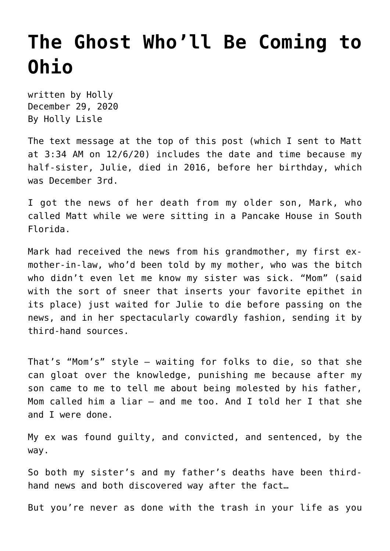## **[The Ghost Who'll Be Coming to](https://hollylisle.com/the-ghost-wholl-be-coming-to-ohio/) [Ohio](https://hollylisle.com/the-ghost-wholl-be-coming-to-ohio/)**

written by Holly December 29, 2020 [By Holly Lisle](https://hollylisle.com)

The text message at the top of this post (which I sent to Matt at 3:34 AM on 12/6/20) includes the date and time [because my](https://hollylisle.com/into-the-new-year-words-for-2017/) [half-sister, Julie, died in 2016, before her birthday,](https://hollylisle.com/into-the-new-year-words-for-2017/) which was December 3rd.

I got the news of her death from my older son, Mark, who called Matt while we were sitting in a Pancake House in South Florida.

Mark had received the news from his grandmother, my first exmother-in-law, who'd been told by my mother, who was the bitch who didn't even let me know my sister was sick. "Mom" (said with the sort of sneer that inserts your favorite epithet in its place) just waited for Julie to die before passing on the news, and in her spectacularly cowardly fashion, sending it by third-hand sources.

That's "Mom's" style — waiting for folks to die, so that she can gloat over the knowledge, punishing me because after my son came to me to tell me about being molested by his father, Mom called him a liar — and me too. And I told her I that she and I were done.

My ex was found guilty, and convicted, and sentenced, by the way.

So both my sister's and my father's deaths have been thirdhand news and both discovered way after the fact…

But you're never as done with the trash in your life as you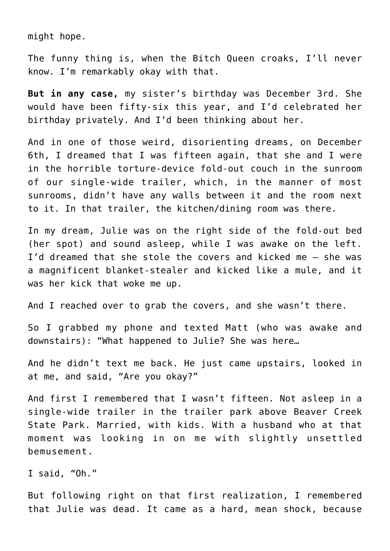might hope.

The funny thing is, when the Bitch Queen croaks, I'll never know. I'm remarkably okay with that.

**But in any case,** my sister's birthday was December 3rd. She would have been fifty-six this year, and I'd celebrated her birthday privately. And I'd been thinking about her.

And in one of those weird, disorienting dreams, on December 6th, I dreamed that I was fifteen again, that she and I were in the horrible torture-device fold-out couch in the sunroom of our single-wide trailer, which, in the manner of most sunrooms, didn't have any walls between it and the room next to it. In that trailer, the kitchen/dining room was there.

In my dream, Julie was on the right side of the fold-out bed (her spot) and sound asleep, while I was awake on the left. I'd dreamed that she stole the covers and kicked me — she was a magnificent blanket-stealer and kicked like a mule, and it was her kick that woke me up.

And I reached over to grab the covers, and she wasn't there.

So I grabbed my phone and texted Matt (who was awake and downstairs): "What happened to Julie? She was here…

And he didn't text me back. He just came upstairs, looked in at me, and said, "Are you okay?"

And first I remembered that I wasn't fifteen. Not asleep in a single-wide trailer in the trailer park above Beaver Creek State Park. Married, with kids. With a husband who at that moment was looking in on me with slightly unsettled bemusement.

I said, "Oh."

But following right on that first realization, I remembered that Julie was dead. It came as a hard, mean shock, because